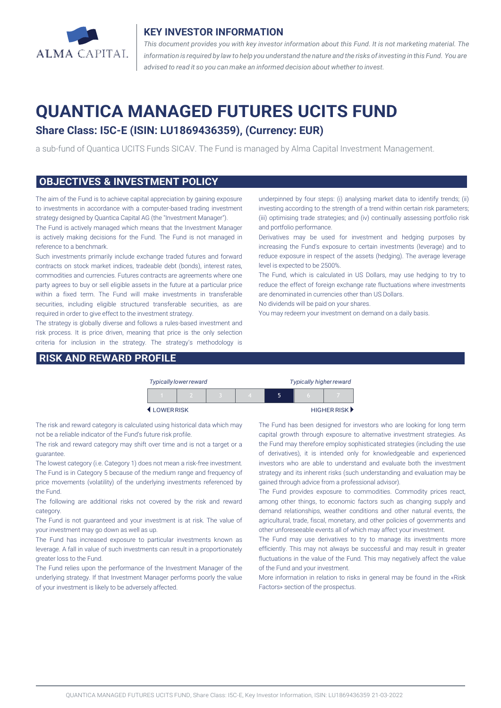

#### **KEY INVESTOR INFORMATION**

*This document provides you with key investor information about this Fund. It is not marketing material. The* information is required by law to help you understand the nature and the risks of investing in this Fund. You are *advised to read it so you can make an informed decision about whether to invest.*

# **QUANTICA MANAGED FUTURES UCITS FUND**

## **Share Class: I5C-E (ISIN: LU1869436359), (Currency: EUR)**

a sub-fund of Quantica UCITS Funds SICAV. The Fund is managed by Alma Capital Investment Management.

#### **OBJECTIVES & INVESTMENT POLICY**

The aim of the Fund is to achieve capital appreciation by gaining exposure to investments in accordance with a computer-based trading investment strategy designed by Quantica Capital AG (the "Investment Manager").

The Fund is actively managed which means that the Investment Manager is actively making decisions for the Fund. The Fund is not managed in reference to a benchmark.

Such investments primarily include exchange traded futures and forward contracts on stock market indices, tradeable debt (bonds), interest rates, commodities and currencies. Futures contracts are agreements where one party agrees to buy or sell eligible assets in the future at a particular price within a fixed term. The Fund will make investments in transferable securities, including eligible structured transferable securities, as are required in order to give effect to the investment strategy.

The strategy is globally diverse and follows a rules-based investment and risk process. It is price driven, meaning that price is the only selection criteria for inclusion in the strategy. The strategy's methodology is

#### **RISK AND REWARD PROFILE**

underpinned by four steps: (i) analysing market data to identify trends; (ii) investing according to the strength of a trend within certain risk parameters; (iii) optimising trade strategies; and (iv) continually assessing portfolio risk and portfolio performance.

Derivatives may be used for investment and hedging purposes by increasing the Fund's exposure to certain investments (leverage) and to reduce exposure in respect of the assets (hedging). The average leverage level is expected to be 2500%.

The Fund, which is calculated in US Dollars, may use hedging to try to reduce the effect of foreign exchange rate fluctuations where investments are denominated in currencies other than US Dollars.

No dividends will be paid on your shares.

You may redeem your investment on demand on a daily basis.

| <b>Typically lower reward</b> |  |  |  |  | <b>Typically higher reward</b> |   |                                   |
|-------------------------------|--|--|--|--|--------------------------------|---|-----------------------------------|
|                               |  |  |  |  |                                | n |                                   |
| LOWERRISK                     |  |  |  |  |                                |   | HIGHER RISK $\blacktriangleright$ |

The risk and reward category is calculated using historical data which may not be a reliable indicator of the Fund's future risk profile.

The risk and reward category may shift over time and is not a target or a guarantee.

The lowest category (i.e. Category 1) does not mean a risk-free investment. The Fund is in Category 5 because of the medium range and frequency of price movements (volatility) of the underlying investments referenced by the Fund.

The following are additional risks not covered by the risk and reward category.

The Fund is not guaranteed and your investment is at risk. The value of your investment may go down as well as up.

The Fund has increased exposure to particular investments known as leverage. A fall in value of such investments can result in a proportionately greater loss to the Fund.

The Fund relies upon the performance of the Investment Manager of the underlying strategy. If that Investment Manager performs poorly the value of your investment is likely to be adversely affected.

The Fund has been designed for investors who are looking for long term capital growth through exposure to alternative investment strategies. As the Fund may therefore employ sophisticated strategies (including the use of derivatives), it is intended only for knowledgeable and experienced investors who are able to understand and evaluate both the investment strategy and its inherent risks (such understanding and evaluation may be gained through advice from a professional advisor).

The Fund provides exposure to commodities. Commodity prices react, among other things, to economic factors such as changing supply and demand relationships, weather conditions and other natural events, the agricultural, trade, fiscal, monetary, and other policies of governments and other unforeseeable events all of which may affect your investment.

The Fund may use derivatives to try to manage its investments more efficiently. This may not always be successful and may result in greater fluctuations in the value of the Fund. This may negatively affect the value of the Fund and your investment.

More information in relation to risks in general may be found in the «Risk Factors» section of the prospectus.